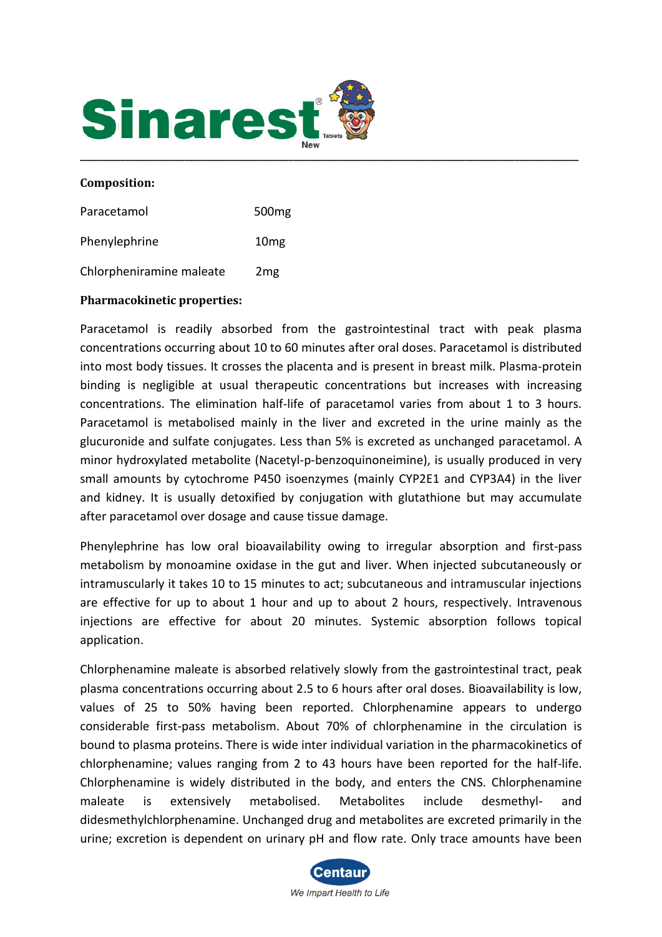

#### **Composition:**

| Paracetamol              | 500 <sub>mg</sub> |
|--------------------------|-------------------|
| Phenylephrine            | 10 <sub>mg</sub>  |
| Chlorpheniramine maleate | 2 <sub>mg</sub>   |

#### **Pharmacokinetic properties:**

Paracetamol is readily absorbed from the gastrointestinal tract with peak plasma concentrations occurring about 10 to 60 minutes after oral doses. Paracetamol is distributed into most body tissues. It crosses the placenta and is present in breast milk. Plasma-protein binding is negligible at usual therapeutic concentrations but increases with increasing concentrations. The elimination half-life of paracetamol varies from about 1 to 3 hours. Paracetamol is metabolised mainly in the liver and excreted in the urine mainly as the glucuronide and sulfate conjugates. Less than 5% is excreted as unchanged paracetamol. A minor hydroxylated metabolite (Nacetyl-p-benzoquinoneimine), is usually produced in very small amounts by cytochrome P450 isoenzymes (mainly CYP2E1 and CYP3A4) in the liver and kidney. It is usually detoxified by conjugation with glutathione but may accumulate after paracetamol over dosage and cause tissue damage.

Phenylephrine has low oral bioavailability owing to irregular absorption and first-pass metabolism by monoamine oxidase in the gut and liver. When injected subcutaneously or intramuscularly it takes 10 to 15 minutes to act; subcutaneous and intramuscular injections are effective for up to about 1 hour and up to about 2 hours, respectively. Intravenous injections are effective for about 20 minutes. Systemic absorption follows topical application.

Chlorphenamine maleate is absorbed relatively slowly from the gastrointestinal tract, peak plasma concentrations occurring about 2.5 to 6 hours after oral doses. Bioavailability is low, values of 25 to 50% having been reported. Chlorphenamine appears to undergo considerable first-pass metabolism. About 70% of chlorphenamine in the circulation is bound to plasma proteins. There is wide inter individual variation in the pharmacokinetics of chlorphenamine; values ranging from 2 to 43 hours have been reported for the half-life. Chlorphenamine is widely distributed in the body, and enters the CNS. Chlorphenamine maleate is extensively metabolised. Metabolites include desmethyl- and didesmethylchlorphenamine. Unchanged drug and metabolites are excreted primarily in the urine; excretion is dependent on urinary pH and flow rate. Only trace amounts have been

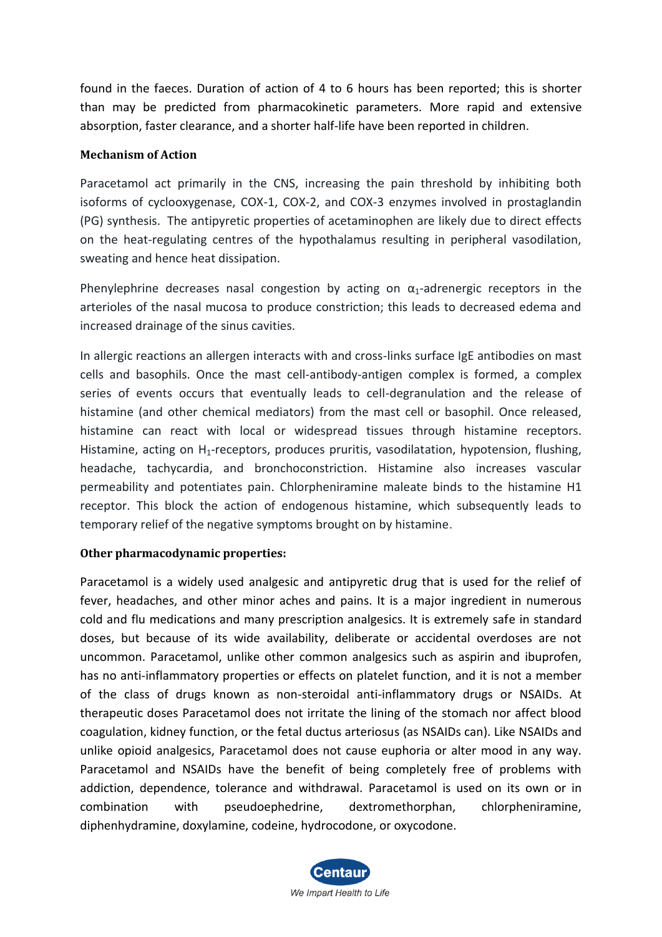found in the faeces. Duration of action of 4 to 6 hours has been reported; this is shorter than may be predicted from pharmacokinetic parameters. More rapid and extensive absorption, faster clearance, and a shorter half-life have been reported in children.

# **Mechanism of Action**

Paracetamol act primarily in the CNS, increasing the pain threshold by inhibiting both isoforms of cyclooxygenase, COX-1, COX-2, and COX-3 enzymes involved in prostaglandin (PG) synthesis. The antipyretic properties of acetaminophen are likely due to direct effects on the heat-regulating centres of the hypothalamus resulting in peripheral vasodilation, sweating and hence heat dissipation.

Phenylephrine decreases nasal congestion by acting on  $\alpha_1$ -adrenergic receptors in the arterioles of the nasal mucosa to produce constriction; this leads to decreased edema and increased drainage of the sinus cavities.

In allergic reactions an allergen interacts with and cross-links surface IgE antibodies on mast cells and basophils. Once the mast cell-antibody-antigen complex is formed, a complex series of events occurs that eventually leads to cell-degranulation and the release of histamine (and other chemical mediators) from the mast cell or basophil. Once released, histamine can react with local or widespread tissues through histamine receptors. Histamine, acting on  $H_1$ -receptors, produces pruritis, vasodilatation, hypotension, flushing, headache, tachycardia, and bronchoconstriction. Histamine also increases vascular permeability and potentiates pain. Chlorpheniramine maleate binds to the histamine H1 receptor. This block the action of endogenous histamine, which subsequently leads to temporary relief of the negative symptoms brought on by histamine.

## **Other pharmacodynamic properties:**

Paracetamol is a widely used analgesic and antipyretic drug that is used for the relief of fever, headaches, and other minor aches and pains. It is a major ingredient in numerous cold and flu medications and many prescription analgesics. It is extremely safe in standard doses, but because of its wide availability, deliberate or accidental overdoses are not uncommon. Paracetamol, unlike other common analgesics such as aspirin and ibuprofen, has no anti-inflammatory properties or effects on platelet function, and it is not a member of the class of drugs known as non-steroidal anti-inflammatory drugs or NSAIDs. At therapeutic doses Paracetamol does not irritate the lining of the stomach nor affect blood coagulation, kidney function, or the fetal ductus arteriosus (as NSAIDs can). Like NSAIDs and unlike opioid analgesics, Paracetamol does not cause euphoria or alter mood in any way. Paracetamol and NSAIDs have the benefit of being completely free of problems with addiction, dependence, tolerance and withdrawal. Paracetamol is used on its own or in combination with pseudoephedrine, dextromethorphan, chlorpheniramine, diphenhydramine, doxylamine, codeine, hydrocodone, or oxycodone.

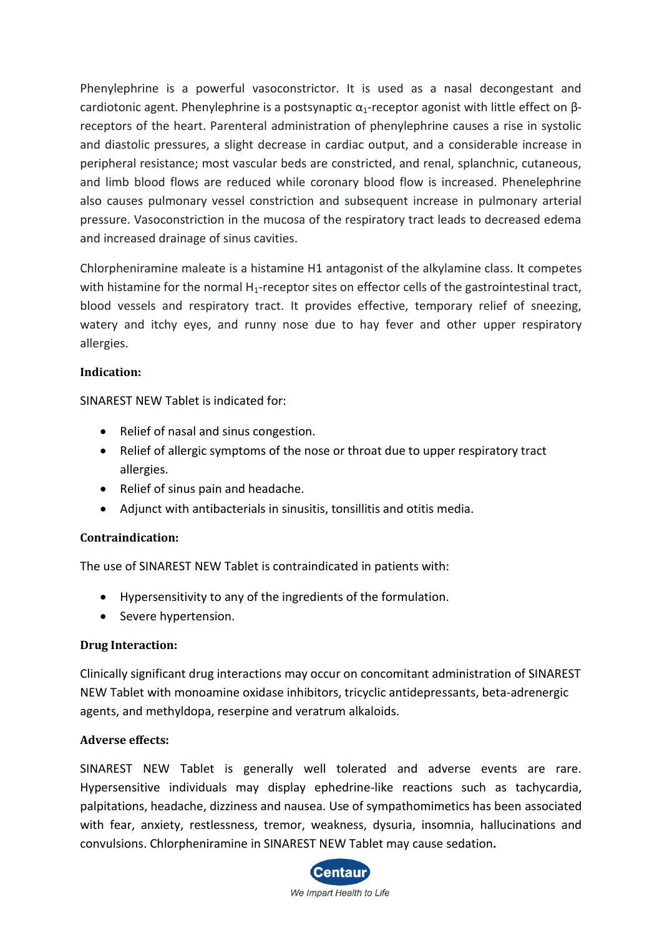Phenylephrine is a powerful vasoconstrictor. It is used as a nasal decongestant and cardiotonic agent. Phenylephrine is a postsynaptic  $\alpha_1$ -receptor agonist with little effect on βreceptors of the heart. Parenteral administration of phenylephrine causes a rise in systolic and diastolic pressures, a slight decrease in cardiac output, and a considerable increase in peripheral resistance; most vascular beds are constricted, and renal, splanchnic, cutaneous, and limb blood flows are reduced while coronary blood flow is increased. Phenelephrine also causes pulmonary vessel constriction and subsequent increase in pulmonary arterial pressure. Vasoconstriction in the mucosa of the respiratory tract leads to decreased edema and increased drainage of sinus cavities.

Chlorpheniramine maleate is a histamine H1 antagonist of the alkylamine class. It competes with histamine for the normal H<sub>1</sub>-receptor sites on effector cells of the gastrointestinal tract, blood vessels and respiratory tract. It provides effective, temporary relief of sneezing, watery and itchy eyes, and runny nose due to hay fever and other upper respiratory allergies.

# **Indication:**

SINAREST NEW Tablet is indicated for:

- Relief of nasal and sinus congestion.
- Relief of allergic symptoms of the nose or throat due to upper respiratory tract allergies.
- Relief of sinus pain and headache.
- Adjunct with antibacterials in sinusitis, tonsillitis and otitis media.

## **Contraindication:**

The use of SINAREST NEW Tablet is contraindicated in patients with:

- Hypersensitivity to any of the ingredients of the formulation.
- Severe hypertension.

## **Drug Interaction:**

Clinically significant drug interactions may occur on concomitant administration of SINAREST NEW Tablet with monoamine oxidase inhibitors, tricyclic antidepressants, beta-adrenergic agents, and methyldopa, reserpine and veratrum alkaloids.

## **Adverse effects:**

SINAREST NEW Tablet is generally well tolerated and adverse events are rare. Hypersensitive individuals may display ephedrine-like reactions such as tachycardia, palpitations, headache, dizziness and nausea. Use of sympathomimetics has been associated with fear, anxiety, restlessness, tremor, weakness, dysuria, insomnia, hallucinations and convulsions. Chlorpheniramine in SINAREST NEW Tablet may cause sedation**.**